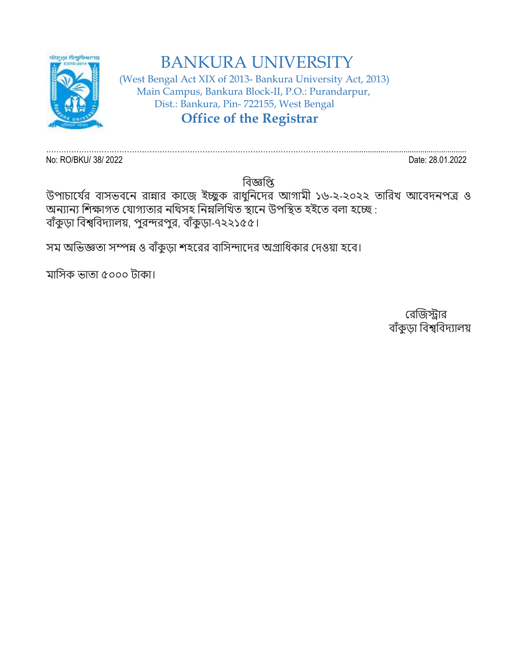

## BANKURA UNIVERSITY

 (West Bengal Act XIX of 2013- Bankura University Act, 2013) Main Campus, Bankura Block-II, P.O.: Purandarpur, Dist.: Bankura, Pin- 722155, West Bengal  **Office of the Registrar**

…………………………………………………………………………………………………………........................................................ No: RO/BKU/ 38/ 2022 Date: 28.01.2022

বিজ্ঞপ্তি

উপাচার্যের বাসভবনে রান্নার কাজে ইচ্ছুক রাধুনিদের আগামী ১৬-২-২০২২ তারিখ আবেদনপত্র ও অন্যান্য শিক্ষাগত যোগ্যতার নথিসহ নিম্নলিখিত স্থানে উপস্থিত হইতে বলা হচ্ছে : বাঁকুড়া বিশ্ববিদ্যালয়, পুরন্দরপুর, বাঁকুড়া-৭২২১৫৫।

সম অভিজ্ঞতা সম্পন্ন ও বাঁকুড়া শহরের বাসিন্দাদের অগ্রাধিকার দেওয়া হবে।

মাবসক ভাতা ৫০০০ টাকা।

রেজিস্ট্রাে বাঁকুডা বিশ্ববিদ্যালয়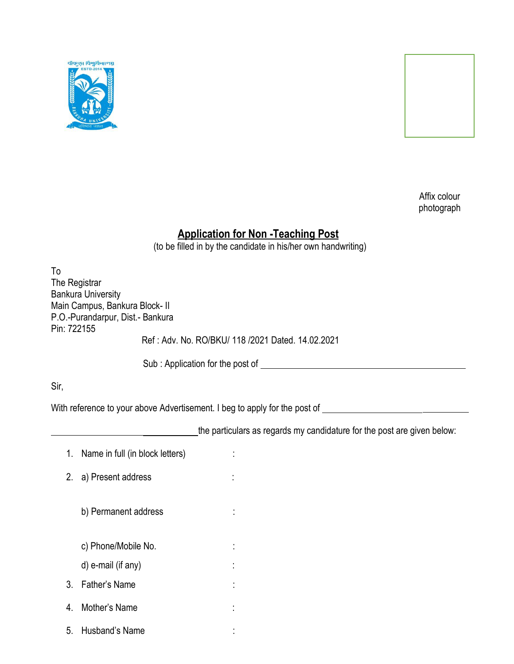



Affix colour photograph

## **Application for Non -Teaching Post**

(to be filled in by the candidate in his/her own handwriting)

| To<br>The Registrar<br>Pin: 722155                                                                   | <b>Bankura University</b><br>Main Campus, Bankura Block- II<br>P.O.-Purandarpur, Dist.- Bankura |                                                                         |  |  |  |  |  |  |  |
|------------------------------------------------------------------------------------------------------|-------------------------------------------------------------------------------------------------|-------------------------------------------------------------------------|--|--|--|--|--|--|--|
|                                                                                                      |                                                                                                 | Ref: Adv. No. RO/BKU/ 118 /2021 Dated. 14.02.2021                       |  |  |  |  |  |  |  |
|                                                                                                      |                                                                                                 |                                                                         |  |  |  |  |  |  |  |
| Sir,                                                                                                 |                                                                                                 |                                                                         |  |  |  |  |  |  |  |
| With reference to your above Advertisement. I beg to apply for the post of _________________________ |                                                                                                 |                                                                         |  |  |  |  |  |  |  |
|                                                                                                      |                                                                                                 | the particulars as regards my candidature for the post are given below: |  |  |  |  |  |  |  |
| 1.                                                                                                   | Name in full (in block letters)                                                                 |                                                                         |  |  |  |  |  |  |  |
| 2.                                                                                                   | a) Present address                                                                              |                                                                         |  |  |  |  |  |  |  |
|                                                                                                      | b) Permanent address                                                                            |                                                                         |  |  |  |  |  |  |  |
|                                                                                                      | c) Phone/Mobile No.                                                                             |                                                                         |  |  |  |  |  |  |  |
|                                                                                                      | d) e-mail (if any)                                                                              |                                                                         |  |  |  |  |  |  |  |
| $3_{-}$                                                                                              | Father's Name                                                                                   |                                                                         |  |  |  |  |  |  |  |
| 4.                                                                                                   | Mother's Name                                                                                   |                                                                         |  |  |  |  |  |  |  |
| 5.                                                                                                   | Husband's Name                                                                                  |                                                                         |  |  |  |  |  |  |  |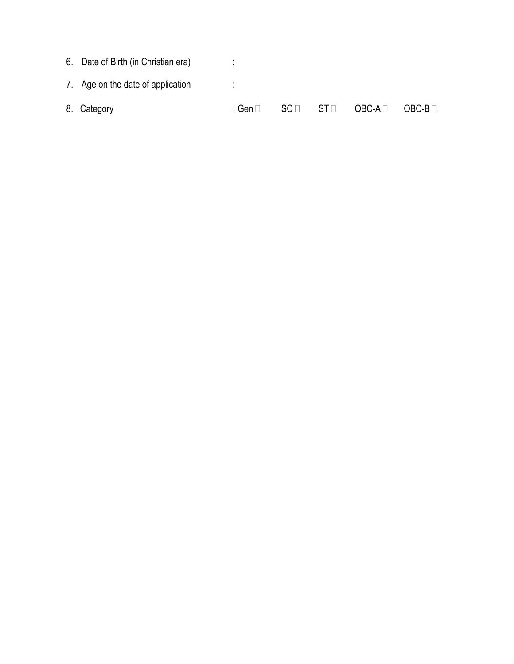| 8. Category                         | ∶ Gen ⊟ | $SC \sqcap$ | $ST \Box$ | OBC-A ⊟ | $OBC-B$ $\Box$ |
|-------------------------------------|---------|-------------|-----------|---------|----------------|
| 7. Age on the date of application   |         |             |           |         |                |
| 6. Date of Birth (in Christian era) |         |             |           |         |                |